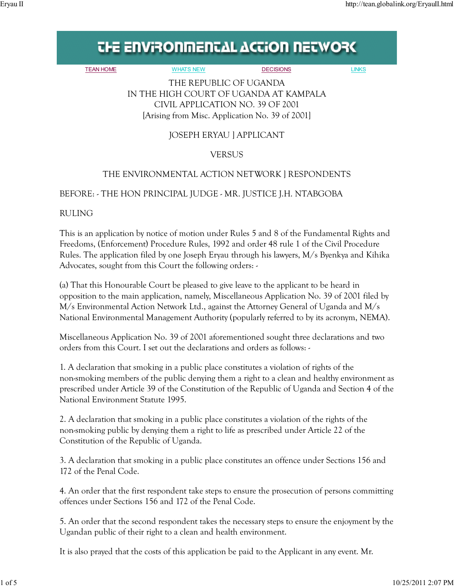# **THE ENVIRONMENTAL ACTION NETWORK**

TEAN HOME WHATS NEW DECISIONS LINKS

THE REPUBLIC OF UGANDA IN THE HIGH COURT OF UGANDA AT KAMPALA CIVIL APPLICATION NO. 39 OF 2001 [Arising from Misc. Application No. 39 of 2001]

## JOSEPH ERYAU ] APPLICANT

### VERSUS

### THE ENVIRONMENTAL ACTION NETWORK ] RESPONDENTS

#### BEFORE: - THE HON PRINCIPAL JUDGE - MR. JUSTICE J.H. NTABGOBA

RULING

This is an application by notice of motion under Rules 5 and 8 of the Fundamental Rights and Freedoms, (Enforcement) Procedure Rules, 1992 and order 48 rule 1 of the Civil Procedure Rules. The application filed by one Joseph Eryau through his lawyers, M/s Byenkya and Kihika Advocates, sought from this Court the following orders: -

(a) That this Honourable Court be pleased to give leave to the applicant to be heard in opposition to the main application, namely, Miscellaneous Application No. 39 of 2001 filed by M/s Environmental Action Network Ltd., against the Attorney General of Uganda and M/s National Environmental Management Authority (popularly referred to by its acronym, NEMA).

Miscellaneous Application No. 39 of 2001 aforementioned sought three declarations and two orders from this Court. I set out the declarations and orders as follows: -

1. A declaration that smoking in a public place constitutes a violation of rights of the non-smoking members of the public denying them a right to a clean and healthy environment as prescribed under Article 39 of the Constitution of the Republic of Uganda and Section 4 of the National Environment Statute 1995.

2. A declaration that smoking in a public place constitutes a violation of the rights of the non-smoking public by denying them a right to life as prescribed under Article 22 of the Constitution of the Republic of Uganda.

3. A declaration that smoking in a public place constitutes an offence under Sections 156 and 172 of the Penal Code.

4. An order that the first respondent take steps to ensure the prosecution of persons committing offences under Sections 156 and 172 of the Penal Code.

5. An order that the second respondent takes the necessary steps to ensure the enjoyment by the Ugandan public of their right to a clean and health environment.

It is also prayed that the costs of this application be paid to the Applicant in any event. Mr.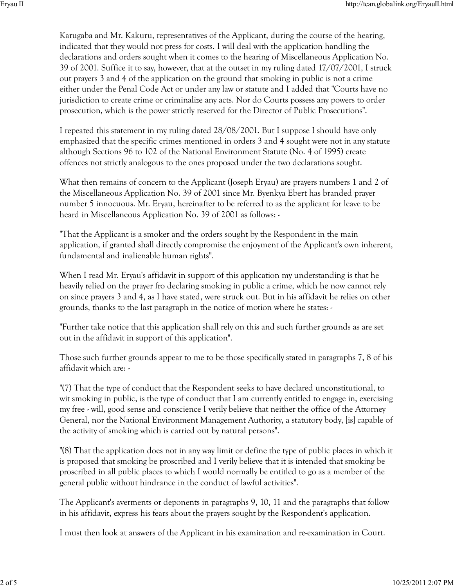Karugaba and Mr. Kakuru, representatives of the Applicant, during the course of the hearing, indicated that they would not press for costs. I will deal with the application handling the declarations and orders sought when it comes to the hearing of Miscellaneous Application No. 39 of 2001. Suffice it to say, however, that at the outset in my ruling dated 17/07/2001, I struck out prayers 3 and 4 of the application on the ground that smoking in public is not a crime either under the Penal Code Act or under any law or statute and I added that "Courts have no jurisdiction to create crime or criminalize any acts. Nor do Courts possess any powers to order prosecution, which is the power strictly reserved for the Director of Public Prosecutions".

I repeated this statement in my ruling dated 28/08/2001. But I suppose I should have only emphasized that the specific crimes mentioned in orders 3 and 4 sought were not in any statute although Sections 96 to 102 of the National Environment Statute (No. 4 of 1995) create offences not strictly analogous to the ones proposed under the two declarations sought.

What then remains of concern to the Applicant (Joseph Eryau) are prayers numbers 1 and 2 of the Miscellaneous Application No. 39 of 2001 since Mr. Byenkya Ebert has branded prayer number 5 innocuous. Mr. Eryau, hereinafter to be referred to as the applicant for leave to be heard in Miscellaneous Application No. 39 of 2001 as follows: -

"That the Applicant is a smoker and the orders sought by the Respondent in the main application, if granted shall directly compromise the enjoyment of the Applicant's own inherent, fundamental and inalienable human rights".

When I read Mr. Eryau's affidavit in support of this application my understanding is that he heavily relied on the prayer fro declaring smoking in public a crime, which he now cannot rely on since prayers 3 and 4, as I have stated, were struck out. But in his affidavit he relies on other grounds, thanks to the last paragraph in the notice of motion where he states: -

"Further take notice that this application shall rely on this and such further grounds as are set out in the affidavit in support of this application".

Those such further grounds appear to me to be those specifically stated in paragraphs 7, 8 of his affidavit which are: -

"(7) That the type of conduct that the Respondent seeks to have declared unconstitutional, to wit smoking in public, is the type of conduct that I am currently entitled to engage in, exercising my free - will, good sense and conscience I verily believe that neither the office of the Attorney General, nor the National Environment Management Authority, a statutory body, [is] capable of the activity of smoking which is carried out by natural persons".

"(8) That the application does not in any way limit or define the type of public places in which it is proposed that smoking be proscribed and I verily believe that it is intended that smoking be proscribed in all public places to which I would normally be entitled to go as a member of the general public without hindrance in the conduct of lawful activities".

The Applicant's averments or deponents in paragraphs 9, 10, 11 and the paragraphs that follow in his affidavit, express his fears about the prayers sought by the Respondent's application.

I must then look at answers of the Applicant in his examination and re-examination in Court.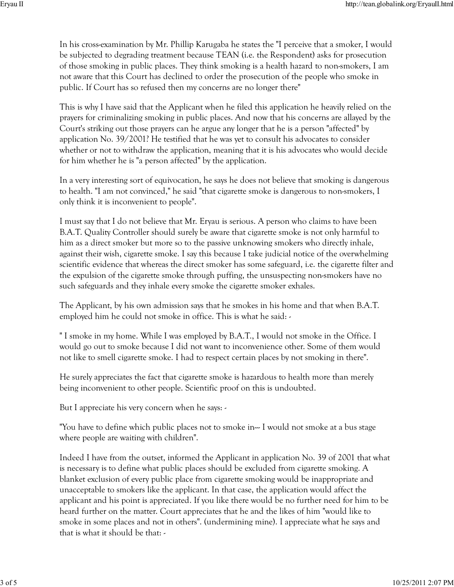In his cross-examination by Mr. Phillip Karugaba he states the "I perceive that a smoker, I would be subjected to degrading treatment because TEAN (i.e. the Respondent) asks for prosecution of those smoking in public places. They think smoking is a health hazard to non-smokers, I am not aware that this Court has declined to order the prosecution of the people who smoke in public. If Court has so refused then my concerns are no longer there"

This is why I have said that the Applicant when he filed this application he heavily relied on the prayers for criminalizing smoking in public places. And now that his concerns are allayed by the Court's striking out those prayers can he argue any longer that he is a person "affected" by application No. 39/2001? He testified that he was yet to consult his advocates to consider whether or not to withdraw the application, meaning that it is his advocates who would decide for him whether he is "a person affected" by the application.

In a very interesting sort of equivocation, he says he does not believe that smoking is dangerous to health. "I am not convinced," he said "that cigarette smoke is dangerous to non-smokers, I only think it is inconvenient to people".

I must say that I do not believe that Mr. Eryau is serious. A person who claims to have been B.A.T. Quality Controller should surely be aware that cigarette smoke is not only harmful to him as a direct smoker but more so to the passive unknowing smokers who directly inhale, against their wish, cigarette smoke. I say this because I take judicial notice of the overwhelming scientific evidence that whereas the direct smoker has some safeguard, i.e. the cigarette filter and the expulsion of the cigarette smoke through puffing, the unsuspecting non-smokers have no such safeguards and they inhale every smoke the cigarette smoker exhales.

The Applicant, by his own admission says that he smokes in his home and that when B.A.T. employed him he could not smoke in office. This is what he said: -

" I smoke in my home. While I was employed by B.A.T., I would not smoke in the Office. I would go out to smoke because I did not want to inconvenience other. Some of them would not like to smell cigarette smoke. I had to respect certain places by not smoking in there".

He surely appreciates the fact that cigarette smoke is hazardous to health more than merely being inconvenient to other people. Scientific proof on this is undoubted.

But I appreciate his very concern when he says: -

"You have to define which public places not to smoke in—I would not smoke at a bus stage where people are waiting with children".

Indeed I have from the outset, informed the Applicant in application No. 39 of 2001 that what is necessary is to define what public places should be excluded from cigarette smoking. A blanket exclusion of every public place from cigarette smoking would be inappropriate and unacceptable to smokers like the applicant. In that case, the application would affect the applicant and his point is appreciated. If you like there would be no further need for him to be heard further on the matter. Court appreciates that he and the likes of him "would like to smoke in some places and not in others". (undermining mine). I appreciate what he says and that is what it should be that: -